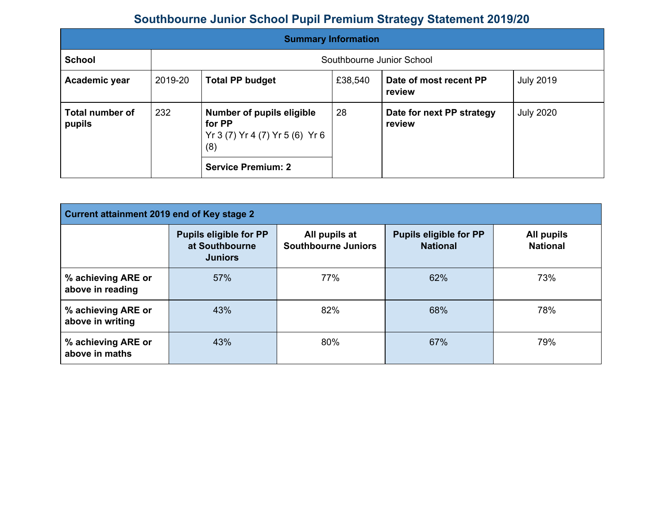## **Southbourne Junior School Pupil Premium Strategy Statement 2019/20**

| <b>Summary Information</b> |                                                                                            |                           |                                     |                                  |                  |
|----------------------------|--------------------------------------------------------------------------------------------|---------------------------|-------------------------------------|----------------------------------|------------------|
| <b>School</b>              |                                                                                            | Southbourne Junior School |                                     |                                  |                  |
| Academic year              | 2019-20                                                                                    | <b>Total PP budget</b>    | £38,540                             | Date of most recent PP<br>review | <b>July 2019</b> |
| Total number of<br>pupils  | 28<br>232<br>Number of pupils eligible<br>for PP<br>Yr 3 (7) Yr 4 (7) Yr 5 (6) Yr 6<br>(8) |                           | Date for next PP strategy<br>review | <b>July 2020</b>                 |                  |
|                            |                                                                                            | <b>Service Premium: 2</b> |                                     |                                  |                  |

| Current attainment 2019 end of Key stage 2 |                                                                   |                                             |                                                  |                               |  |  |
|--------------------------------------------|-------------------------------------------------------------------|---------------------------------------------|--------------------------------------------------|-------------------------------|--|--|
|                                            | <b>Pupils eligible for PP</b><br>at Southbourne<br><b>Juniors</b> | All pupils at<br><b>Southbourne Juniors</b> | <b>Pupils eligible for PP</b><br><b>National</b> | All pupils<br><b>National</b> |  |  |
| % achieving ARE or<br>above in reading     | 57%                                                               | 77%                                         | 62%                                              | 73%                           |  |  |
| % achieving ARE or<br>above in writing     | 43%                                                               | 82%                                         | 68%                                              | 78%                           |  |  |
| % achieving ARE or<br>above in maths       | 43%                                                               | 80%                                         | 67%                                              | 79%                           |  |  |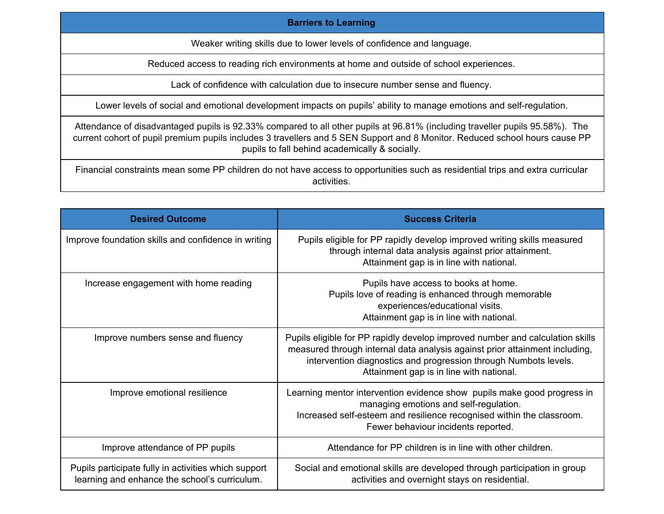## **Barriers to Learning**

Weaker writing skills due to lower levels of confidence and language.

Reduced access to reading rich environments at home and outside of school experiences.

Lack of confidence with calculation due to insecure number sense and fluency.

Lower levels of social and emotional development impacts on pupils' ability to manage emotions and self-regulation.

Attendance of disadvantaged pupils is 92.33% compared to all other pupils at 96.81% (including traveller pupils 95.58%). The current cohort of pupil premium pupils includes 3 travellers and 5 SEN Support and 8 Monitor. Reduced school hours cause PP pupils to fall behind academically & socially.

Financial constraints mean some PP children do not have access to opportunities such as residential trips and extra curricular activities.

| <b>Desired Outcome</b>                                                                                | <b>Success Criteria</b>                                                                                                                                                                                                                                                      |
|-------------------------------------------------------------------------------------------------------|------------------------------------------------------------------------------------------------------------------------------------------------------------------------------------------------------------------------------------------------------------------------------|
| Improve foundation skills and confidence in writing                                                   | Pupils eligible for PP rapidly develop improved writing skills measured<br>through internal data analysis against prior attainment.<br>Attainment gap is in line with national.                                                                                              |
| Increase engagement with home reading                                                                 | Pupils have access to books at home.<br>Pupils love of reading is enhanced through memorable<br>experiences/educational visits.<br>Attainment gap is in line with national.                                                                                                  |
| Improve numbers sense and fluency                                                                     | Pupils eligible for PP rapidly develop improved number and calculation skills<br>measured through internal data analysis against prior attainment including,<br>intervention diagnostics and progression through Numbots levels.<br>Attainment gap is in line with national. |
| Improve emotional resilience                                                                          | Learning mentor intervention evidence show pupils make good progress in<br>managing emotions and self-regulation.<br>Increased self-esteem and resilience recognised within the classroom.<br>Fewer behaviour incidents reported.                                            |
| Improve attendance of PP pupils                                                                       | Attendance for PP children is in line with other children.                                                                                                                                                                                                                   |
| Pupils participate fully in activities which support<br>learning and enhance the school's curriculum. | Social and emotional skills are developed through participation in group<br>activities and overnight stays on residential.                                                                                                                                                   |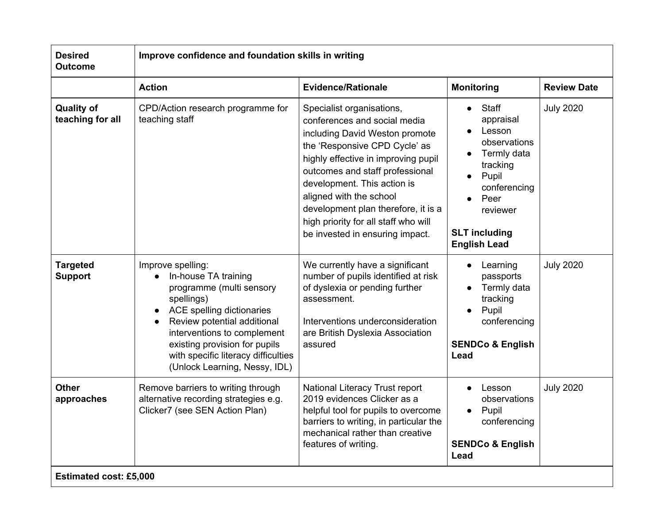| <b>Outcome</b>                        | Improve confidence and foundation skills in writing                                                                                                                                                                                                                                     |                                                                                                                                                                                                                                                                                                                                                                                    |                                                                                                                                                                                  |                    |  |
|---------------------------------------|-----------------------------------------------------------------------------------------------------------------------------------------------------------------------------------------------------------------------------------------------------------------------------------------|------------------------------------------------------------------------------------------------------------------------------------------------------------------------------------------------------------------------------------------------------------------------------------------------------------------------------------------------------------------------------------|----------------------------------------------------------------------------------------------------------------------------------------------------------------------------------|--------------------|--|
|                                       | <b>Action</b>                                                                                                                                                                                                                                                                           | <b>Evidence/Rationale</b>                                                                                                                                                                                                                                                                                                                                                          | <b>Monitoring</b>                                                                                                                                                                | <b>Review Date</b> |  |
| <b>Quality of</b><br>teaching for all | CPD/Action research programme for<br>teaching staff                                                                                                                                                                                                                                     | Specialist organisations,<br>conferences and social media<br>including David Weston promote<br>the 'Responsive CPD Cycle' as<br>highly effective in improving pupil<br>outcomes and staff professional<br>development. This action is<br>aligned with the school<br>development plan therefore, it is a<br>high priority for all staff who will<br>be invested in ensuring impact. | Staff<br>appraisal<br>Lesson<br>observations<br>Termly data<br>tracking<br>Pupil<br>$\bullet$<br>conferencing<br>Peer<br>reviewer<br><b>SLT including</b><br><b>English Lead</b> | <b>July 2020</b>   |  |
| <b>Targeted</b><br><b>Support</b>     | Improve spelling:<br>In-house TA training<br>programme (multi sensory<br>spellings)<br>ACE spelling dictionaries<br>Review potential additional<br>interventions to complement<br>existing provision for pupils<br>with specific literacy difficulties<br>(Unlock Learning, Nessy, IDL) | We currently have a significant<br>number of pupils identified at risk<br>of dyslexia or pending further<br>assessment.<br>Interventions underconsideration<br>are British Dyslexia Association<br>assured                                                                                                                                                                         | Learning<br>passports<br>Termly data<br>tracking<br>Pupil<br>conferencing<br><b>SENDCo &amp; English</b><br>Lead                                                                 | <b>July 2020</b>   |  |
| <b>Other</b><br>approaches            | Remove barriers to writing through<br>alternative recording strategies e.g.<br>Clicker7 (see SEN Action Plan)                                                                                                                                                                           | National Literacy Trust report<br>2019 evidences Clicker as a<br>helpful tool for pupils to overcome<br>barriers to writing, in particular the<br>mechanical rather than creative<br>features of writing.                                                                                                                                                                          | Lesson<br>observations<br>Pupil<br>conferencing<br><b>SENDCo &amp; English</b><br>Lead                                                                                           | <b>July 2020</b>   |  |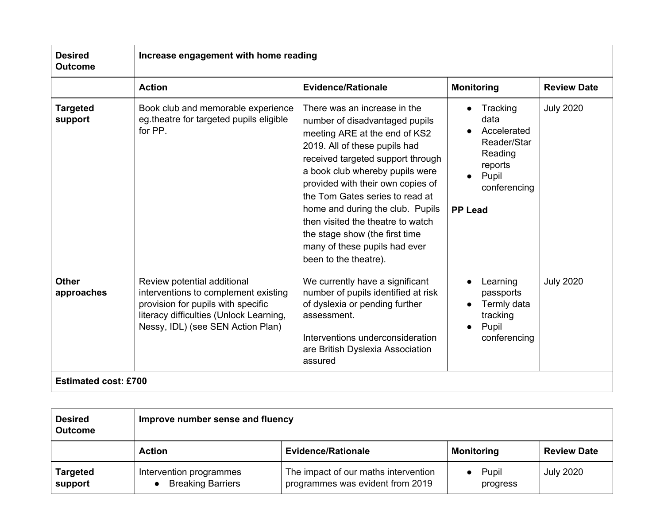| <b>Desired</b><br><b>Outcome</b> | Increase engagement with home reading                                                                                                                                                     |                                                                                                                                                                                                                                                                                                                                                                                                                                                       |                                                                                                                 |                    |
|----------------------------------|-------------------------------------------------------------------------------------------------------------------------------------------------------------------------------------------|-------------------------------------------------------------------------------------------------------------------------------------------------------------------------------------------------------------------------------------------------------------------------------------------------------------------------------------------------------------------------------------------------------------------------------------------------------|-----------------------------------------------------------------------------------------------------------------|--------------------|
|                                  | <b>Action</b>                                                                                                                                                                             | <b>Evidence/Rationale</b>                                                                                                                                                                                                                                                                                                                                                                                                                             | <b>Monitoring</b>                                                                                               | <b>Review Date</b> |
| <b>Targeted</b><br>support       | Book club and memorable experience<br>eg theatre for targeted pupils eligible<br>for PP.                                                                                                  | There was an increase in the<br>number of disadvantaged pupils<br>meeting ARE at the end of KS2<br>2019. All of these pupils had<br>received targeted support through<br>a book club whereby pupils were<br>provided with their own copies of<br>the Tom Gates series to read at<br>home and during the club. Pupils<br>then visited the theatre to watch<br>the stage show (the first time<br>many of these pupils had ever<br>been to the theatre). | Tracking<br>data<br>Accelerated<br>Reader/Star<br>Reading<br>reports<br>Pupil<br>conferencing<br><b>PP Lead</b> | <b>July 2020</b>   |
| <b>Other</b><br>approaches       | Review potential additional<br>interventions to complement existing<br>provision for pupils with specific<br>literacy difficulties (Unlock Learning,<br>Nessy, IDL) (see SEN Action Plan) | We currently have a significant<br>number of pupils identified at risk<br>of dyslexia or pending further<br>assessment.<br>Interventions underconsideration<br>are British Dyslexia Association<br>assured                                                                                                                                                                                                                                            | Learning<br>passports<br>Termly data<br>tracking<br>Pupil<br>conferencing                                       | <b>July 2020</b>   |

| <b>Desired</b><br><b>Outcome</b> | Improve number sense and fluency                    |                                                                          |                   |                    |
|----------------------------------|-----------------------------------------------------|--------------------------------------------------------------------------|-------------------|--------------------|
|                                  | <b>Action</b>                                       | <b>Evidence/Rationale</b>                                                | <b>Monitoring</b> | <b>Review Date</b> |
| <b>Targeted</b><br>support       | Intervention programmes<br><b>Breaking Barriers</b> | The impact of our maths intervention<br>programmes was evident from 2019 | Pupil<br>progress | <b>July 2020</b>   |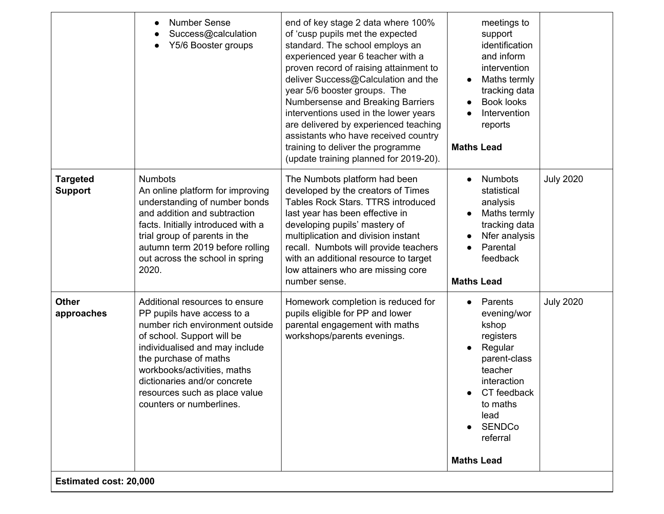|                                                                                                                                                                                                                                                                               |                                                                                                      | year 5/6 booster groups. The<br>Numbersense and Breaking Barriers<br>interventions used in the lower years<br>are delivered by experienced teaching<br>assistants who have received country<br>training to deliver the programme<br>(update training planned for 2019-20).                                                                                    | Maths termly<br>tracking data<br><b>Book looks</b><br>Intervention<br>reports<br><b>Maths Lead</b>                                                                                                  |                  |
|-------------------------------------------------------------------------------------------------------------------------------------------------------------------------------------------------------------------------------------------------------------------------------|------------------------------------------------------------------------------------------------------|---------------------------------------------------------------------------------------------------------------------------------------------------------------------------------------------------------------------------------------------------------------------------------------------------------------------------------------------------------------|-----------------------------------------------------------------------------------------------------------------------------------------------------------------------------------------------------|------------------|
| <b>Targeted</b><br><b>Numbots</b><br><b>Support</b><br>and addition and subtraction<br>facts. Initially introduced with a<br>trial group of parents in the<br>out across the school in spring<br>2020.                                                                        | An online platform for improving<br>understanding of number bonds<br>autumn term 2019 before rolling | The Numbots platform had been<br>developed by the creators of Times<br>Tables Rock Stars, TTRS introduced<br>last year has been effective in<br>developing pupils' mastery of<br>multiplication and division instant<br>recall. Numbots will provide teachers<br>with an additional resource to target<br>low attainers who are missing core<br>number sense. | <b>Numbots</b><br>statistical<br>analysis<br>Maths termly<br>tracking data<br>Nfer analysis<br>Parental<br>feedback<br><b>Maths Lead</b>                                                            | <b>July 2020</b> |
| <b>Other</b><br>Additional resources to ensure<br>PP pupils have access to a<br>approaches<br>of school. Support will be<br>the purchase of maths<br>workbooks/activities, maths<br>dictionaries and/or concrete<br>resources such as place value<br>counters or numberlines. | number rich environment outside<br>individualised and may include                                    | Homework completion is reduced for<br>pupils eligible for PP and lower<br>parental engagement with maths<br>workshops/parents evenings.                                                                                                                                                                                                                       | Parents<br>evening/wor<br>kshop<br>registers<br>Regular<br>parent-class<br>teacher<br>interaction<br>CT feedback<br>$\bullet$<br>to maths<br>lead<br><b>SENDCo</b><br>referral<br><b>Maths Lead</b> | <b>July 2020</b> |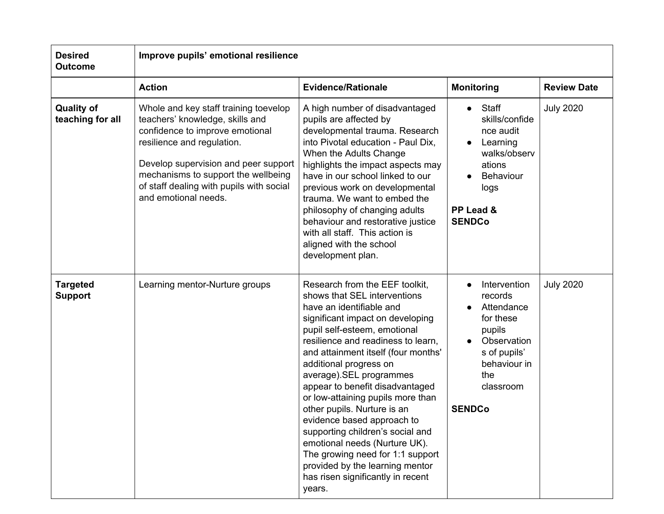| <b>Desired</b><br><b>Outcome</b>      | Improve pupils' emotional resilience                                                                                                                                                                                                                                                         |                                                                                                                                                                                                                                                                                                                                                                                                                                                                                                                                                                                                                                  |                                                                                                                                                               |                    |  |
|---------------------------------------|----------------------------------------------------------------------------------------------------------------------------------------------------------------------------------------------------------------------------------------------------------------------------------------------|----------------------------------------------------------------------------------------------------------------------------------------------------------------------------------------------------------------------------------------------------------------------------------------------------------------------------------------------------------------------------------------------------------------------------------------------------------------------------------------------------------------------------------------------------------------------------------------------------------------------------------|---------------------------------------------------------------------------------------------------------------------------------------------------------------|--------------------|--|
|                                       | <b>Action</b>                                                                                                                                                                                                                                                                                | <b>Evidence/Rationale</b>                                                                                                                                                                                                                                                                                                                                                                                                                                                                                                                                                                                                        | <b>Monitoring</b>                                                                                                                                             | <b>Review Date</b> |  |
| <b>Quality of</b><br>teaching for all | Whole and key staff training toevelop<br>teachers' knowledge, skills and<br>confidence to improve emotional<br>resilience and regulation.<br>Develop supervision and peer support<br>mechanisms to support the wellbeing<br>of staff dealing with pupils with social<br>and emotional needs. | A high number of disadvantaged<br>pupils are affected by<br>developmental trauma. Research<br>into Pivotal education - Paul Dix,<br>When the Adults Change<br>highlights the impact aspects may<br>have in our school linked to our<br>previous work on developmental<br>trauma. We want to embed the<br>philosophy of changing adults<br>behaviour and restorative justice<br>with all staff. This action is<br>aligned with the school<br>development plan.                                                                                                                                                                    | Staff<br>skills/confide<br>nce audit<br>Learning<br>$\bullet$<br>walks/observ<br>ations<br>Behaviour<br>logs<br>PP Lead &<br><b>SENDCo</b>                    | <b>July 2020</b>   |  |
| <b>Targeted</b><br><b>Support</b>     | Learning mentor-Nurture groups                                                                                                                                                                                                                                                               | Research from the EEF toolkit,<br>shows that SEL interventions<br>have an identifiable and<br>significant impact on developing<br>pupil self-esteem, emotional<br>resilience and readiness to learn,<br>and attainment itself (four months'<br>additional progress on<br>average).SEL programmes<br>appear to benefit disadvantaged<br>or low-attaining pupils more than<br>other pupils. Nurture is an<br>evidence based approach to<br>supporting children's social and<br>emotional needs (Nurture UK).<br>The growing need for 1:1 support<br>provided by the learning mentor<br>has risen significantly in recent<br>years. | Intervention<br>$\bullet$<br>records<br>Attendance<br>for these<br>pupils<br>Observation<br>s of pupils'<br>behaviour in<br>the<br>classroom<br><b>SENDCo</b> | <b>July 2020</b>   |  |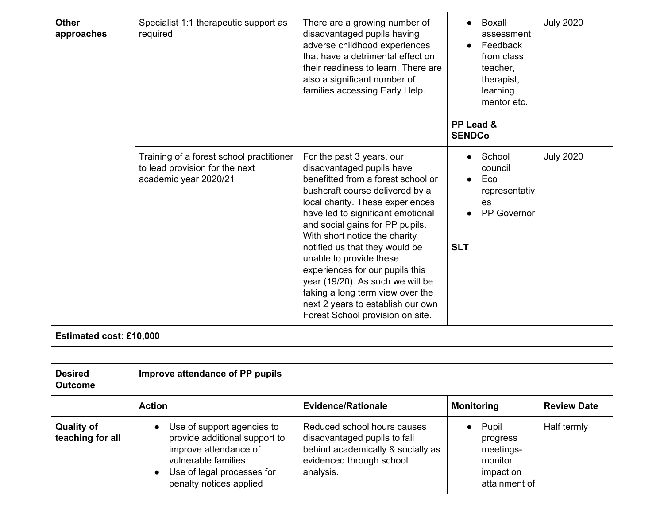| <b>Other</b><br>approaches     | Specialist 1:1 therapeutic support as<br>required                                                   | There are a growing number of<br>disadvantaged pupils having<br>adverse childhood experiences<br>that have a detrimental effect on<br>their readiness to learn. There are<br>also a significant number of<br>families accessing Early Help.                                                                                                                                                                                                                                                                                   | Boxall<br>assessment<br>Feedback<br>from class<br>teacher,<br>therapist,<br>learning<br>mentor etc.<br>PP Lead &<br><b>SENDCo</b> | <b>July 2020</b> |
|--------------------------------|-----------------------------------------------------------------------------------------------------|-------------------------------------------------------------------------------------------------------------------------------------------------------------------------------------------------------------------------------------------------------------------------------------------------------------------------------------------------------------------------------------------------------------------------------------------------------------------------------------------------------------------------------|-----------------------------------------------------------------------------------------------------------------------------------|------------------|
|                                | Training of a forest school practitioner<br>to lead provision for the next<br>academic year 2020/21 | For the past 3 years, our<br>disadvantaged pupils have<br>benefitted from a forest school or<br>bushcraft course delivered by a<br>local charity. These experiences<br>have led to significant emotional<br>and social gains for PP pupils.<br>With short notice the charity<br>notified us that they would be<br>unable to provide these<br>experiences for our pupils this<br>year (19/20). As such we will be<br>taking a long term view over the<br>next 2 years to establish our own<br>Forest School provision on site. | School<br>council<br>Eco<br>representativ<br>es<br>PP Governor<br><b>SLT</b>                                                      | <b>July 2020</b> |
| <b>Estimated cost: £10,000</b> |                                                                                                     |                                                                                                                                                                                                                                                                                                                                                                                                                                                                                                                               |                                                                                                                                   |                  |

| <b>Desired</b><br><b>Outcome</b>      | Improve attendance of PP pupils                                                                                                                                      |                                                                                                                                           |                                                                                      |                    |
|---------------------------------------|----------------------------------------------------------------------------------------------------------------------------------------------------------------------|-------------------------------------------------------------------------------------------------------------------------------------------|--------------------------------------------------------------------------------------|--------------------|
|                                       | <b>Action</b>                                                                                                                                                        | <b>Evidence/Rationale</b>                                                                                                                 | <b>Monitoring</b>                                                                    | <b>Review Date</b> |
| <b>Quality of</b><br>teaching for all | Use of support agencies to<br>provide additional support to<br>improve attendance of<br>vulnerable families<br>Use of legal processes for<br>penalty notices applied | Reduced school hours causes<br>disadvantaged pupils to fall<br>behind academically & socially as<br>evidenced through school<br>analysis. | Pupil<br>$\bullet$<br>progress<br>meetings-<br>monitor<br>impact on<br>attainment of | Half termly        |